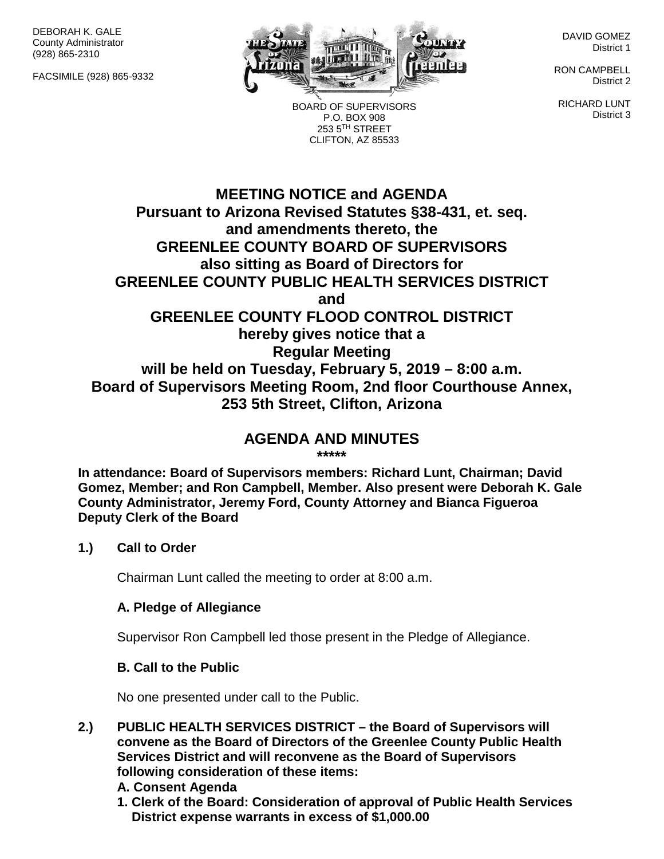DEBORAH K. GALE County Administrator (928) 865-2310

FACSIMILE (928) 865-9332



BOARD OF SUPERVISORS P.O. BOX 908 253 5TH STREET CLIFTON, AZ 85533

DAVID GOMEZ District 1

RON CAMPBELL District 2

RICHARD LUNT District 3

# **MEETING NOTICE and AGENDA Pursuant to Arizona Revised Statutes §38-431, et. seq. and amendments thereto, the GREENLEE COUNTY BOARD OF SUPERVISORS also sitting as Board of Directors for GREENLEE COUNTY PUBLIC HEALTH SERVICES DISTRICT and GREENLEE COUNTY FLOOD CONTROL DISTRICT hereby gives notice that a Regular Meeting will be held on Tuesday, February 5, 2019 – 8:00 a.m. Board of Supervisors Meeting Room, 2nd floor Courthouse Annex, 253 5th Street, Clifton, Arizona**

#### **AGENDA AND MINUTES \*\*\*\*\***

**In attendance: Board of Supervisors members: Richard Lunt, Chairman; David Gomez, Member; and Ron Campbell, Member. Also present were Deborah K. Gale County Administrator, Jeremy Ford, County Attorney and Bianca Figueroa Deputy Clerk of the Board**

#### **1.) Call to Order**

Chairman Lunt called the meeting to order at 8:00 a.m.

#### **A. Pledge of Allegiance**

Supervisor Ron Campbell led those present in the Pledge of Allegiance.

### **B. Call to the Public**

No one presented under call to the Public.

- **2.) PUBLIC HEALTH SERVICES DISTRICT – the Board of Supervisors will convene as the Board of Directors of the Greenlee County Public Health Services District and will reconvene as the Board of Supervisors following consideration of these items:**
	- **A. Consent Agenda**
	- **1. Clerk of the Board: Consideration of approval of Public Health Services District expense warrants in excess of \$1,000.00**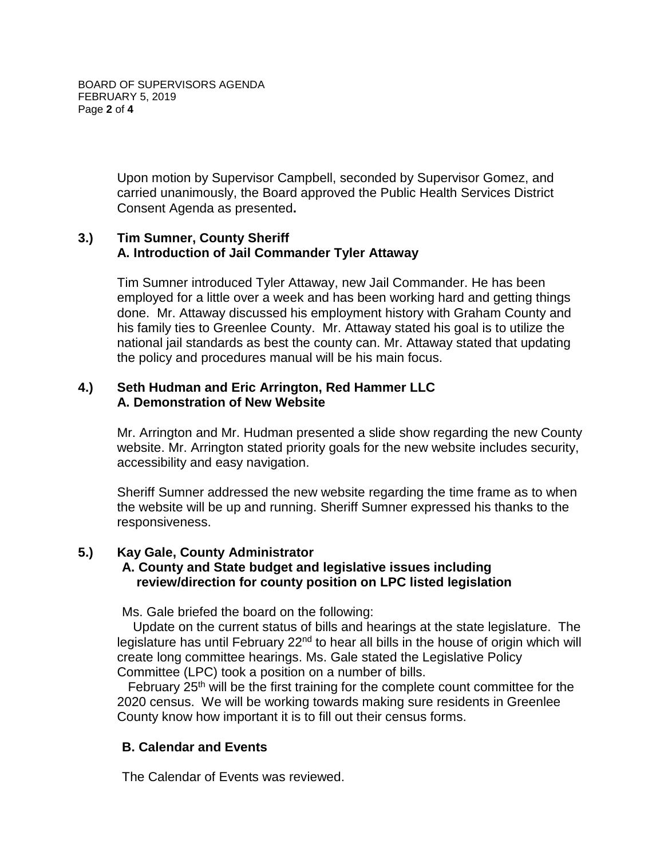Upon motion by Supervisor Campbell, seconded by Supervisor Gomez, and carried unanimously, the Board approved the Public Health Services District Consent Agenda as presented**.**

### **3.) Tim Sumner, County Sheriff A. Introduction of Jail Commander Tyler Attaway**

Tim Sumner introduced Tyler Attaway, new Jail Commander. He has been employed for a little over a week and has been working hard and getting things done. Mr. Attaway discussed his employment history with Graham County and his family ties to Greenlee County. Mr. Attaway stated his goal is to utilize the national jail standards as best the county can. Mr. Attaway stated that updating the policy and procedures manual will be his main focus.

### **4.) Seth Hudman and Eric Arrington, Red Hammer LLC A. Demonstration of New Website**

Mr. Arrington and Mr. Hudman presented a slide show regarding the new County website. Mr. Arrington stated priority goals for the new website includes security, accessibility and easy navigation.

Sheriff Sumner addressed the new website regarding the time frame as to when the website will be up and running. Sheriff Sumner expressed his thanks to the responsiveness.

### **5.) Kay Gale, County Administrator A. County and State budget and legislative issues including review/direction for county position on LPC listed legislation**

Ms. Gale briefed the board on the following:

 Update on the current status of bills and hearings at the state legislature. The legislature has until February  $22<sup>nd</sup>$  to hear all bills in the house of origin which will create long committee hearings. Ms. Gale stated the Legislative Policy Committee (LPC) took a position on a number of bills.

February  $25<sup>th</sup>$  will be the first training for the complete count committee for the 2020 census. We will be working towards making sure residents in Greenlee County know how important it is to fill out their census forms.

## **B. Calendar and Events**

The Calendar of Events was reviewed.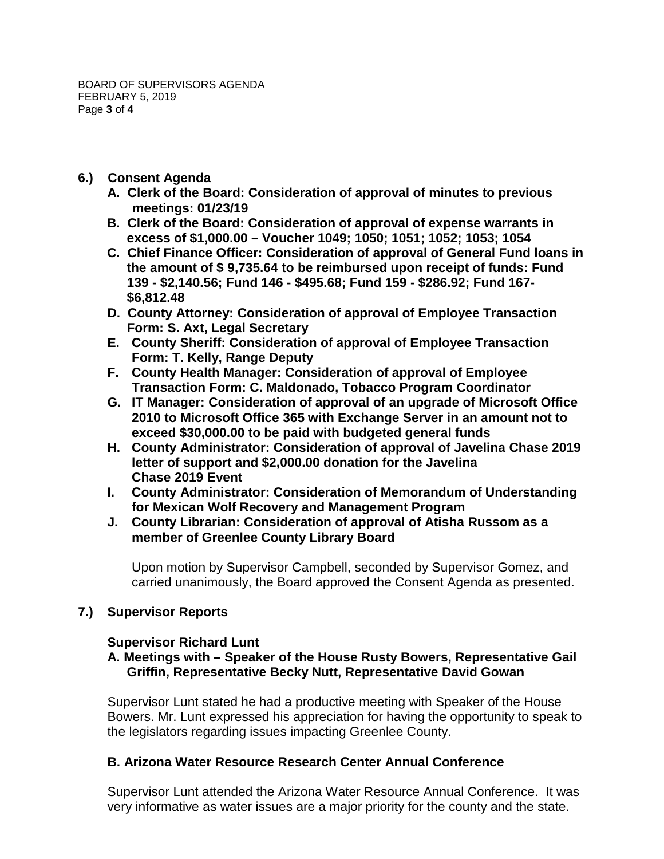- **6.) Consent Agenda**
	- **A. Clerk of the Board: Consideration of approval of minutes to previous meetings: 01/23/19**
	- **B. Clerk of the Board: Consideration of approval of expense warrants in excess of \$1,000.00 – Voucher 1049; 1050; 1051; 1052; 1053; 1054**
	- **C. Chief Finance Officer: Consideration of approval of General Fund loans in the amount of \$ 9,735.64 to be reimbursed upon receipt of funds: Fund 139 - \$2,140.56; Fund 146 - \$495.68; Fund 159 - \$286.92; Fund 167- \$6,812.48**
	- **D. County Attorney: Consideration of approval of Employee Transaction Form: S. Axt, Legal Secretary**
	- **E. County Sheriff: Consideration of approval of Employee Transaction Form: T. Kelly, Range Deputy**
	- **F. County Health Manager: Consideration of approval of Employee Transaction Form: C. Maldonado, Tobacco Program Coordinator**
	- **G. IT Manager: Consideration of approval of an upgrade of Microsoft Office 2010 to Microsoft Office 365 with Exchange Server in an amount not to exceed \$30,000.00 to be paid with budgeted general funds**
	- **H. County Administrator: Consideration of approval of Javelina Chase 2019 letter of support and \$2,000.00 donation for the Javelina Chase 2019 Event**
	- **I. County Administrator: Consideration of Memorandum of Understanding for Mexican Wolf Recovery and Management Program**
	- **J. County Librarian: Consideration of approval of Atisha Russom as a member of Greenlee County Library Board**

Upon motion by Supervisor Campbell, seconded by Supervisor Gomez, and carried unanimously, the Board approved the Consent Agenda as presented.

# **7.) Supervisor Reports**

## **Supervisor Richard Lunt**

### **A. Meetings with – Speaker of the House Rusty Bowers, Representative Gail Griffin, Representative Becky Nutt, Representative David Gowan**

Supervisor Lunt stated he had a productive meeting with Speaker of the House Bowers. Mr. Lunt expressed his appreciation for having the opportunity to speak to the legislators regarding issues impacting Greenlee County.

## **B. Arizona Water Resource Research Center Annual Conference**

Supervisor Lunt attended the Arizona Water Resource Annual Conference. It was very informative as water issues are a major priority for the county and the state.